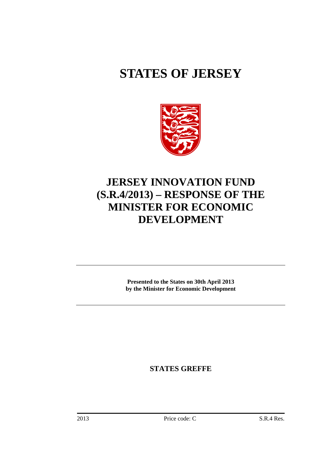# **STATES OF JERSEY**



## **JERSEY INNOVATION FUND (S.R.4/2013) – RESPONSE OF THE MINISTER FOR ECONOMIC DEVELOPMENT**

**Presented to the States on 30th April 2013 by the Minister for Economic Development**

**STATES GREFFE**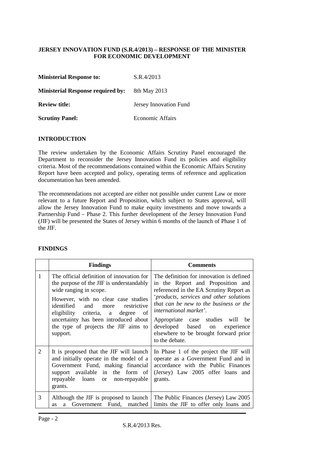#### **JERSEY INNOVATION FUND (S.R.4/2013) – RESPONSE OF THE MINISTER FOR ECONOMIC DEVELOPMENT**

| <b>Ministerial Response to:</b>          | S.R.4/2013              |
|------------------------------------------|-------------------------|
| <b>Ministerial Response required by:</b> | 8th May 2013            |
| <b>Review title:</b>                     | Jersey Innovation Fund  |
| <b>Scrutiny Panel:</b>                   | <b>Economic Affairs</b> |

#### **INTRODUCTION**

The review undertaken by the Economic Affairs Scrutiny Panel encouraged the Department to reconsider the Jersey Innovation Fund its policies and eligibility criteria. Most of the recommendations contained within the Economic Affairs Scrutiny Report have been accepted and policy, operating terms of reference and application documentation has been amended.

The recommendations not accepted are either not possible under current Law or more relevant to a future Report and Proposition, which subject to States approval, will allow the Jersey Innovation Fund to make equity investments and move towards a Partnership Fund – Phase 2. This further development of the Jersey Innovation Fund (JIF) will be presented the States of Jersey within 6 months of the launch of Phase 1 of the JIF.

#### **FINDINGS**

|   | <b>Findings</b>                                                                                                                                                                                                                                                                                                                   | <b>Comments</b>                                                                                                                                                                                                                                                                                                                                                                   |
|---|-----------------------------------------------------------------------------------------------------------------------------------------------------------------------------------------------------------------------------------------------------------------------------------------------------------------------------------|-----------------------------------------------------------------------------------------------------------------------------------------------------------------------------------------------------------------------------------------------------------------------------------------------------------------------------------------------------------------------------------|
| 1 | The official definition of innovation for<br>the purpose of the JIF is understandably<br>wide ranging in scope.<br>However, with no clear case studies<br>identified and more<br>restrictive<br>eligibility criteria, a degree<br>of<br>uncertainty has been introduced about<br>the type of projects the JIF aims to<br>support. | The definition for innovation is defined<br>in the Report and Proposition and<br>referenced in the EA Scrutiny Report as<br>'products, services and other solutions<br>that can be new to the business or the<br><i>international market'.</i><br>Appropriate case studies will be<br>developed based on<br>experience<br>elsewhere to be brought forward prior<br>to the debate. |
| 2 | It is proposed that the JIF will launch<br>and initially operate in the model of a<br>Government Fund, making financial<br>support available in the form of<br>repayable loans or non-repayable<br>grants.                                                                                                                        | In Phase 1 of the project the JIF will<br>operate as a Government Fund and in<br>accordance with the Public Finances<br>(Jersey) Law 2005 offer loans and<br>grants.                                                                                                                                                                                                              |
| 3 | Although the JIF is proposed to launch<br>Government Fund,<br>matched<br>a<br><b>as</b>                                                                                                                                                                                                                                           | The Public Finances (Jersey) Law 2005<br>limits the JIF to offer only loans and                                                                                                                                                                                                                                                                                                   |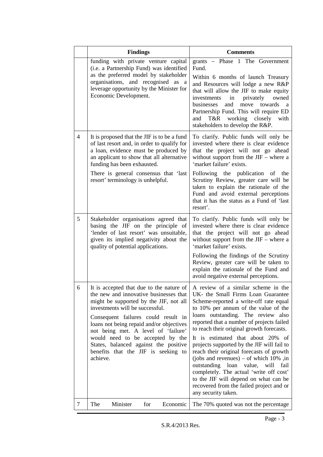|   | <b>Findings</b>                                                                                                                                                                                                                                                                                                                                                                                                                                                 | <b>Comments</b>                                                                                                                                                                                                                                                                                                                                                                                                                                                                                                                                                                                                                        |
|---|-----------------------------------------------------------------------------------------------------------------------------------------------------------------------------------------------------------------------------------------------------------------------------------------------------------------------------------------------------------------------------------------------------------------------------------------------------------------|----------------------------------------------------------------------------------------------------------------------------------------------------------------------------------------------------------------------------------------------------------------------------------------------------------------------------------------------------------------------------------------------------------------------------------------------------------------------------------------------------------------------------------------------------------------------------------------------------------------------------------------|
|   | funding with private venture capital<br>(i.e. a Partnership Fund) was identified<br>as the preferred model by stakeholder<br>organisations, and recognised as a<br>leverage opportunity by the Minister for<br>Economic Development.                                                                                                                                                                                                                            | grants - Phase 1 The Government<br>Fund.<br>Within 6 months of launch Treasury<br>and Resources will lodge a new R&P<br>that will allow the JIF to make equity<br>privately<br>owned<br>investments<br>in<br>businesses<br>and<br>move<br>towards<br>a<br>Partnership Fund. This will require ED<br>working<br>T&R<br>closely<br>and<br>with<br>stakeholders to develop the R&P.                                                                                                                                                                                                                                                       |
| 4 | It is proposed that the JIF is to be a fund<br>of last resort and, in order to qualify for<br>a loan, evidence must be produced by<br>an applicant to show that all alternative<br>funding has been exhausted.<br>There is general consensus that 'last<br>resort' terminology is unhelpful.                                                                                                                                                                    | To clarify. Public funds will only be<br>invested where there is clear evidence<br>that the project will not go ahead<br>without support from the $JIF$ – where a<br>'market failure' exists.<br>Following the publication<br>of the<br>Scrutiny Review, greater care will be<br>taken to explain the rationale of the<br>Fund and avoid external perceptions<br>that it has the status as a Fund of 'last<br>resort'.                                                                                                                                                                                                                 |
| 5 | Stakeholder organisations agreed that<br>basing the JIF on the principle of<br>'lender of last resort' was unsuitable,<br>given its implied negativity about the<br>quality of potential applications.                                                                                                                                                                                                                                                          | To clarify. Public funds will only be<br>invested where there is clear evidence<br>that the project will not go ahead<br>without support from the $JIF$ – where a<br>'market failure' exists.<br>Following the findings of the Scrutiny<br>Review, greater care will be taken to<br>explain the rationale of the Fund and<br>avoid negative external perceptions.                                                                                                                                                                                                                                                                      |
| 6 | It is accepted that due to the nature of   A review of a similar scheme in the<br>the new and innovative businesses that<br>might be supported by the JIF, not all<br>investments will be successful.<br>Consequent failures could result in<br>loans not being repaid and/or objectives<br>not being met. A level of 'failure'<br>would need to be accepted by the<br>States, balanced against the positive<br>benefits that the JIF is seeking to<br>achieve. | UK- the Small Firms Loan Guarantee<br>Scheme-reported a write-off rate equal<br>to 10% per annum of the value of the<br>loans outstanding. The review also<br>reported that a number of projects failed<br>to reach their original growth forecasts.<br>It is estimated that about 20% of<br>projects supported by the JIF will fail to<br>reach their original forecasts of growth<br>(jobs and revenues) – of which $10\%$ , in<br>outstanding<br>loan<br>value, will<br>fail<br>completely. The actual 'write off cost'<br>to the JIF will depend on what can be<br>recovered from the failed project and or<br>any security taken. |
| 7 | The<br>Minister<br>for<br>Economic                                                                                                                                                                                                                                                                                                                                                                                                                              | The 70% quoted was not the percentage                                                                                                                                                                                                                                                                                                                                                                                                                                                                                                                                                                                                  |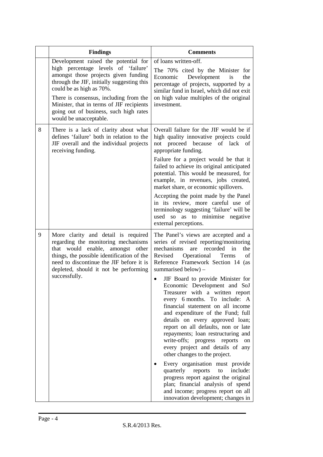|   | <b>Findings</b>                                                                                                                                                                                                                                                                                                                                          | <b>Comments</b>                                                                                                                                                                                                                                                                                                                                                                                                                                                                                                                                                                                                                                                                                                                                                                                                                                                                                                        |
|---|----------------------------------------------------------------------------------------------------------------------------------------------------------------------------------------------------------------------------------------------------------------------------------------------------------------------------------------------------------|------------------------------------------------------------------------------------------------------------------------------------------------------------------------------------------------------------------------------------------------------------------------------------------------------------------------------------------------------------------------------------------------------------------------------------------------------------------------------------------------------------------------------------------------------------------------------------------------------------------------------------------------------------------------------------------------------------------------------------------------------------------------------------------------------------------------------------------------------------------------------------------------------------------------|
|   | Development raised the potential for<br>high percentage levels of 'failure'<br>amongst those projects given funding<br>through the JIF, initially suggesting this<br>could be as high as 70%.<br>There is consensus, including from the<br>Minister, that in terms of JIF recipients<br>going out of business, such high rates<br>would be unacceptable. | of loans written-off.<br>The 70% cited by the Minister for<br>Economic<br>Development<br>is<br>the<br>percentage of projects, supported by a<br>similar fund in Israel, which did not exit<br>on high value multiples of the original<br>investment.                                                                                                                                                                                                                                                                                                                                                                                                                                                                                                                                                                                                                                                                   |
| 8 | There is a lack of clarity about what<br>defines 'failure' both in relation to the<br>JIF overall and the individual projects<br>receiving funding.                                                                                                                                                                                                      | Overall failure for the JIF would be if<br>high quality innovative projects could<br>not proceed because of lack of<br>appropriate funding.<br>Failure for a project would be that it<br>failed to achieve its original anticipated<br>potential. This would be measured, for<br>example, in revenues, jobs created,<br>market share, or economic spillovers.<br>Accepting the point made by the Panel<br>in its review, more careful use of<br>terminology suggesting 'failure' will be<br>used so as to minimise negative<br>external perceptions.                                                                                                                                                                                                                                                                                                                                                                   |
| 9 | More clarity and detail is required<br>regarding the monitoring mechanisms<br>that would enable, amongst other<br>things, the possible identification of the<br>need to discontinue the JIF before it is<br>depleted, should it not be performing<br>successfully.                                                                                       | The Panel's views are accepted and a<br>series of revised reporting/monitoring<br>recorded<br>in<br>mechanisms<br>are<br>the<br>Revised<br>Operational<br>Terms<br>of<br>Reference Framework Section 14 (as<br>summarised below) -<br>JIF Board to provide Minister for<br>Economic Development and SoJ<br>Treasurer with a written report<br>every 6 months. To include: A<br>financial statement on all income<br>and expenditure of the Fund; full<br>details on every approved loan;<br>report on all defaults, non or late<br>repayments; loan restructuring and<br>write-offs; progress<br>reports<br>on<br>every project and details of any<br>other changes to the project.<br>Every organisation must provide<br>include:<br>quarterly reports<br>to<br>progress report against the original<br>plan; financial analysis of spend<br>and income; progress report on all<br>innovation development; changes in |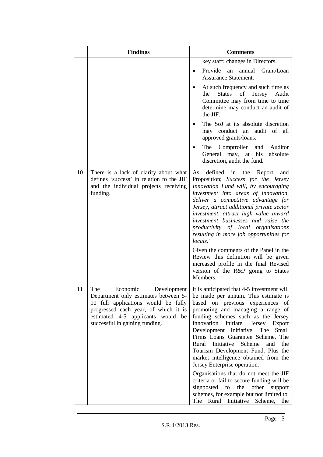|    | <b>Findings</b>                                                                                                                                                                                                              | <b>Comments</b>                                                                                                                                                                                                                                                                                                                                                                                                                                                                                                                                                                                                                                                                                                         |
|----|------------------------------------------------------------------------------------------------------------------------------------------------------------------------------------------------------------------------------|-------------------------------------------------------------------------------------------------------------------------------------------------------------------------------------------------------------------------------------------------------------------------------------------------------------------------------------------------------------------------------------------------------------------------------------------------------------------------------------------------------------------------------------------------------------------------------------------------------------------------------------------------------------------------------------------------------------------------|
|    |                                                                                                                                                                                                                              | key staff; changes in Directors.<br>Provide an annual<br>Grant/Loan<br><b>Assurance Statement.</b><br>At such frequency and such time as<br>the<br><b>States</b><br>Jersey<br>of<br>Audit<br>Committee may from time to time<br>determine may conduct an audit of<br>the JIF.                                                                                                                                                                                                                                                                                                                                                                                                                                           |
|    |                                                                                                                                                                                                                              | The SoJ at its absolute discretion<br>may conduct an audit of all<br>approved grants/loans.<br>The Comptroller<br>and Auditor<br>General may, at his<br>absolute<br>discretion, audit the fund.                                                                                                                                                                                                                                                                                                                                                                                                                                                                                                                         |
| 10 | There is a lack of clarity about what<br>defines 'success' in relation to the JIF<br>and the individual projects receiving<br>funding.                                                                                       | defined<br>As<br>the<br>Report<br>in<br>and<br>Proposition; Success for the Jersey<br>Innovation Fund will, by encouraging<br>investment into areas of innovation,<br>deliver a competitive advantage for<br>Jersey, attract additional private sector<br>investment, attract high value inward<br>investment businesses and raise the<br>productivity of local organisations<br>resulting in more job opportunities for<br>locals.'<br>Given the comments of the Panel in the<br>Review this definition will be given<br>increased profile in the final Revised<br>version of the R&P going to States<br>Members.                                                                                                      |
| 11 | The<br>Economic<br>Development<br>Department only estimates between 5-<br>10 full applications would be fully<br>progressed each year, of which it is<br>estimated 4-5 applicants would be<br>successful in gaining funding. | It is anticipated that 4-5 investment will<br>be made per annum. This estimate is<br>based on previous experiences<br>of<br>promoting and managing a range of<br>funding schemes such as the Jersey<br>Innovation<br>Initiate,<br>Jersey<br>Export<br>Development Initiative, The<br>Small<br>Firms Loans Guarantee Scheme, The<br>Rural Initiative Scheme<br>the<br>and<br>Tourism Development Fund. Plus the<br>market intelligence obtained from the<br>Jersey Enterprise operation.<br>Organisations that do not meet the JIF<br>criteria or fail to secure funding will be<br>signposted<br>to<br>the<br>other<br>support<br>schemes, for example but not limited to,<br>Rural Initiative<br>Scheme,<br>The<br>the |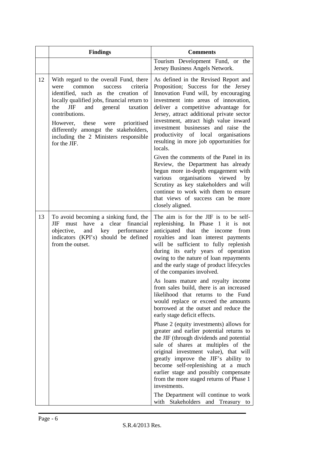|    | <b>Findings</b>                                                                                                                                                                                                                                                                                                                                                                       | <b>Comments</b>                                                                                                                                                                                                                                                                                                                                                                                                              |
|----|---------------------------------------------------------------------------------------------------------------------------------------------------------------------------------------------------------------------------------------------------------------------------------------------------------------------------------------------------------------------------------------|------------------------------------------------------------------------------------------------------------------------------------------------------------------------------------------------------------------------------------------------------------------------------------------------------------------------------------------------------------------------------------------------------------------------------|
|    |                                                                                                                                                                                                                                                                                                                                                                                       | Tourism Development Fund, or the<br>Jersey Business Angels Network.                                                                                                                                                                                                                                                                                                                                                          |
| 12 | With regard to the overall Fund, there<br>were<br>common<br>success<br>criteria<br>identified, such as the creation of<br>locally qualified jobs, financial return to<br><b>JIF</b><br>and<br>general<br>the<br>taxation<br>contributions.<br>these were<br>prioritised<br>However,<br>differently amongst the stakeholders,<br>including the 2 Ministers responsible<br>for the JIF. | As defined in the Revised Report and<br>Proposition; Success for the Jersey<br>Innovation Fund will, by encouraging<br>investment into areas of innovation,<br>deliver a competitive advantage for<br>Jersey, attract additional private sector<br>investment, attract high value inward<br>investment businesses and raise the<br>productivity of local organisations<br>resulting in more job opportunities for<br>locals. |
|    |                                                                                                                                                                                                                                                                                                                                                                                       | Given the comments of the Panel in its<br>Review, the Department has already<br>begun more in-depth engagement with<br>various organisations<br>viewed<br>by<br>Scrutiny as key stakeholders and will<br>continue to work with them to ensure<br>that views of success can be more<br>closely aligned.                                                                                                                       |
| 13 | To avoid becoming a sinking fund, the<br>have<br>a<br>clear financial<br>JIF<br>must<br>key performance<br>objective,<br>and<br>indicators (KPI's) should be defined<br>from the outset.                                                                                                                                                                                              | The aim is for the JIF is to be self-<br>replenishing. In Phase 1 it is not<br>anticipated that the income<br>from<br>royalties and loan interest payments<br>will be sufficient to fully replenish<br>during its early years of operation<br>owing to the nature of loan repayments<br>and the early stage of product lifecycles<br>of the companies involved.                                                              |
|    |                                                                                                                                                                                                                                                                                                                                                                                       | As loans mature and royalty income<br>from sales build, there is an increased<br>likelihood that returns to the Fund<br>would replace or exceed the amounts<br>borrowed at the outset and reduce the<br>early stage deficit effects.                                                                                                                                                                                         |
|    |                                                                                                                                                                                                                                                                                                                                                                                       | Phase 2 (equity investments) allows for<br>greater and earlier potential returns to<br>the JIF (through dividends and potential<br>sale of shares at multiples of the<br>original investment value), that will<br>greatly improve the JIF's ability to<br>become self-replenishing at a much<br>earlier stage and possibly compensate<br>from the more staged returns of Phase 1<br>investments.                             |
|    |                                                                                                                                                                                                                                                                                                                                                                                       | The Department will continue to work<br>with Stakeholders and Treasury to                                                                                                                                                                                                                                                                                                                                                    |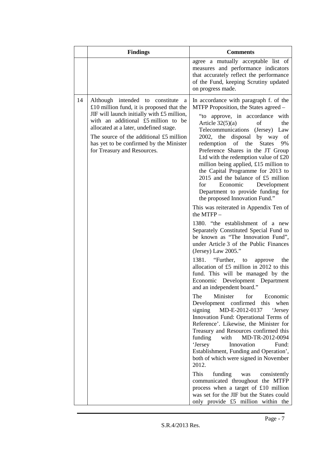|    | <b>Findings</b>                                                                                                                                                                                                                                                                                                                       | <b>Comments</b>                                                                                                                                                                                                                                                                                                                                                                                                                                                                                                                                                                                                                                                                                                                                                                                                                                                                                                                                                                                                                                                                                                                                                                                                                                                                                                                                                                                                                                                                                                                                                                                                                                                       |
|----|---------------------------------------------------------------------------------------------------------------------------------------------------------------------------------------------------------------------------------------------------------------------------------------------------------------------------------------|-----------------------------------------------------------------------------------------------------------------------------------------------------------------------------------------------------------------------------------------------------------------------------------------------------------------------------------------------------------------------------------------------------------------------------------------------------------------------------------------------------------------------------------------------------------------------------------------------------------------------------------------------------------------------------------------------------------------------------------------------------------------------------------------------------------------------------------------------------------------------------------------------------------------------------------------------------------------------------------------------------------------------------------------------------------------------------------------------------------------------------------------------------------------------------------------------------------------------------------------------------------------------------------------------------------------------------------------------------------------------------------------------------------------------------------------------------------------------------------------------------------------------------------------------------------------------------------------------------------------------------------------------------------------------|
|    |                                                                                                                                                                                                                                                                                                                                       | agree a mutually acceptable list of<br>measures and performance indicators<br>that accurately reflect the performance<br>of the Fund, keeping Scrutiny updated<br>on progress made.                                                                                                                                                                                                                                                                                                                                                                                                                                                                                                                                                                                                                                                                                                                                                                                                                                                                                                                                                                                                                                                                                                                                                                                                                                                                                                                                                                                                                                                                                   |
| 14 | Although intended to constitute<br>a<br>£10 million fund, it is proposed that the<br>JIF will launch initially with £5 million,<br>with an additional £5 million to be<br>allocated at a later, undefined stage.<br>The source of the additional £5 million<br>has yet to be confirmed by the Minister<br>for Treasury and Resources. | In accordance with paragraph f. of the<br>MTFP Proposition, the States agreed –<br>"to approve, in accordance with<br>Article $32(5)(a)$<br>of<br>the<br>Telecommunications (Jersey) Law<br>2002, the<br>disposal by way<br>of<br>redemption<br>the<br>of<br><b>States</b><br>9%<br>Preference Shares in the JT Group<br>Ltd with the redemption value of $£20$<br>million being applied, £15 million to<br>the Capital Programme for 2013 to<br>2015 and the balance of $£5$ million<br>for<br>Economic Development<br>Department to provide funding for<br>the proposed Innovation Fund."<br>This was reiterated in Appendix Ten of<br>the $MTFP-$<br>1380. "the establishment of a new<br>Separately Constituted Special Fund to<br>be known as "The Innovation Fund",<br>under Article 3 of the Public Finances<br>(Jersey) Law $2005."$<br>1381. "Further, to<br>the<br>approve<br>allocation of £5 million in 2012 to this<br>fund. This will be managed by the<br>Economic Development Department<br>and an independent board."<br>Minister<br>for<br>The<br>Economic<br>Development confirmed this when<br>signing<br>MD-E-2012-0137<br><b>Jersey</b><br>Innovation Fund: Operational Terms of<br>Reference'. Likewise, the Minister for<br>Treasury and Resources confirmed this<br>MD-TR-2012-0094<br>funding<br>with<br>'Jersey<br>Innovation<br>Fund:<br>Establishment, Funding and Operation',<br>both of which were signed in November<br>2012.<br>This<br>funding<br>was<br>consistently<br>communicated throughout the MTFP<br>process when a target of £10 million<br>was set for the JIF but the States could<br>only provide £5 million within the |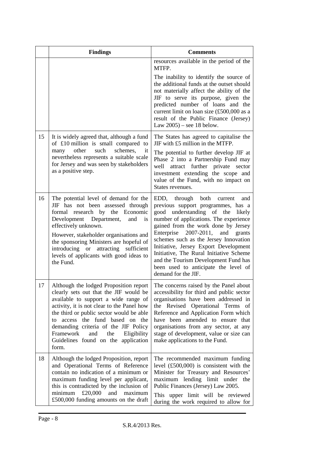|    | <b>Findings</b>                                                                                                                                                                                                                                                                                                                                                                            | <b>Comments</b>                                                                                                                                                                                                                                                                                                                                                                                                                                                                          |
|----|--------------------------------------------------------------------------------------------------------------------------------------------------------------------------------------------------------------------------------------------------------------------------------------------------------------------------------------------------------------------------------------------|------------------------------------------------------------------------------------------------------------------------------------------------------------------------------------------------------------------------------------------------------------------------------------------------------------------------------------------------------------------------------------------------------------------------------------------------------------------------------------------|
|    |                                                                                                                                                                                                                                                                                                                                                                                            | resources available in the period of the<br>MTFP.                                                                                                                                                                                                                                                                                                                                                                                                                                        |
|    |                                                                                                                                                                                                                                                                                                                                                                                            | The inability to identify the source of<br>the additional funds at the outset should<br>not materially affect the ability of the<br>JIF to serve its purpose, given the<br>predicted number of loans and the<br>current limit on loan size (£500,000 as a<br>result of the Public Finance (Jersey)<br>Law $2005$ ) – see 18 below.                                                                                                                                                       |
| 15 | It is widely agreed that, although a fund<br>of £10 million is small compared to<br>such<br>schemes,<br>other<br>it<br>many<br>nevertheless represents a suitable scale<br>for Jersey and was seen by stakeholders<br>as a positive step.                                                                                                                                                  | The States has agreed to capitalise the<br>JIF with £5 million in the MTFP.<br>The potential to further develop JIF at<br>Phase 2 into a Partnership Fund may<br>attract further private<br>well<br>sector<br>investment extending the scope and<br>value of the Fund, with no impact on<br>States revenues.                                                                                                                                                                             |
| 16 | The potential level of demand for the<br>JIF has not been assessed through<br>formal research by the Economic<br>Development Department,<br>and<br>is<br>effectively unknown.<br>However, stakeholder organisations and<br>the sponsoring Ministers are hopeful of<br>introducing or<br>attracting<br>sufficient<br>levels of applicants with good ideas to<br>the Fund.                   | through both<br>EDD,<br>and<br>current<br>previous support programmes, has a<br>understanding of the<br>good<br>likely<br>number of applications. The experience<br>gained from the work done by Jersey<br>Enterprise<br>2007-2011,<br>and<br>grants<br>schemes such as the Jersey Innovation<br>Initiative, Jersey Export Development<br>Initiative, The Rural Initiative Scheme<br>and the Tourism Development Fund has<br>been used to anticipate the level of<br>demand for the JIF. |
| 17 | Although the lodged Proposition report<br>clearly sets out that the JIF would be<br>available to support a wide range of<br>activity, it is not clear to the Panel how<br>the third or public sector would be able<br>access the fund based on the<br>to<br>demanding criteria of the JIF Policy<br>Framework<br>and<br>the<br>Eligibility<br>Guidelines found on the application<br>form. | The concerns raised by the Panel about<br>accessibility for third and public sector<br>organisations have been addressed in<br>the Revised Operational Terms of<br>Reference and Application Form which<br>have been amended to ensure that<br>organisations from any sector, at any<br>stage of development, value or size can<br>make applications to the Fund.                                                                                                                        |
| 18 | Although the lodged Proposition, report<br>and Operational Terms of Reference<br>contain no indication of a minimum or<br>maximum funding level per applicant,<br>this is contradicted by the inclusion of<br>£20,000<br>and<br>minimum<br>maximum<br>£500,000 funding amounts on the draft                                                                                                | The recommended maximum funding<br>level $(\text{\pounds}500,000)$ is consistent with the<br>Minister for Treasury and Resources'<br>maximum lending limit under the<br>Public Finances (Jersey) Law 2005.<br>This upper limit will be reviewed<br>during the work required to allow for                                                                                                                                                                                                 |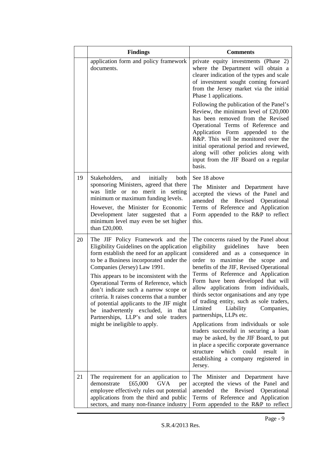|    | <b>Findings</b>                                                                                                                                                                                                                                                                                                                                                                                                                                                                                                                                | <b>Comments</b>                                                                                                                                                                                                                                                                                                                                                                                                                                                                                                                                                                                                                                                                                                                                                    |
|----|------------------------------------------------------------------------------------------------------------------------------------------------------------------------------------------------------------------------------------------------------------------------------------------------------------------------------------------------------------------------------------------------------------------------------------------------------------------------------------------------------------------------------------------------|--------------------------------------------------------------------------------------------------------------------------------------------------------------------------------------------------------------------------------------------------------------------------------------------------------------------------------------------------------------------------------------------------------------------------------------------------------------------------------------------------------------------------------------------------------------------------------------------------------------------------------------------------------------------------------------------------------------------------------------------------------------------|
|    | application form and policy framework<br>documents.                                                                                                                                                                                                                                                                                                                                                                                                                                                                                            | private equity investments (Phase 2)<br>where the Department will obtain a<br>clearer indication of the types and scale<br>of investment sought coming forward<br>from the Jersey market via the initial<br>Phase 1 applications.                                                                                                                                                                                                                                                                                                                                                                                                                                                                                                                                  |
|    |                                                                                                                                                                                                                                                                                                                                                                                                                                                                                                                                                | Following the publication of the Panel's<br>Review, the minimum level of $£20,000$<br>has been removed from the Revised<br>Operational Terms of Reference and<br>Application Form appended to the<br>R&P. This will be monitored over the<br>initial operational period and reviewed,<br>along will other policies along with<br>input from the JIF Board on a regular<br>basis.                                                                                                                                                                                                                                                                                                                                                                                   |
| 19 | Stakeholders,<br>and<br>initially<br>both<br>sponsoring Ministers, agreed that there<br>was little or no merit in setting<br>minimum or maximum funding levels.<br>However, the Minister for Economic<br>Development later suggested that a<br>minimum level may even be set higher<br>than £20,000.                                                                                                                                                                                                                                           | See 18 above<br>The Minister and Department have<br>accepted the views of the Panel and<br>Revised<br>amended<br>the<br>Operational<br>Terms of Reference and Application<br>Form appended to the R&P to reflect<br>this.                                                                                                                                                                                                                                                                                                                                                                                                                                                                                                                                          |
| 20 | The JIF Policy Framework and the<br>Eligibility Guidelines on the application<br>form establish the need for an applicant<br>to be a Business incorporated under the<br>Companies (Jersey) Law 1991.<br>This appears to be inconsistent with the<br>Operational Terms of Reference, which<br>don't indicate such a narrow scope or<br>criteria. It raises concerns that a number<br>of potential applicants to the JIF might<br>be inadvertently excluded, in<br>that<br>Partnerships, LLP's and sole traders<br>might be ineligible to apply. | The concerns raised by the Panel about<br>guidelines<br>have<br>eligibility<br>been<br>considered and as a consequence in<br>order to maximise the scope<br>and<br>benefits of the JIF, Revised Operational<br>Terms of Reference and Application<br>Form have been developed that will<br>allow applications from individuals,<br>thirds sector organisations and any type<br>of trading entity, such as sole traders,<br>Limited<br>Liability<br>Companies,<br>partnerships, LLPs etc.<br>Applications from individuals or sole<br>traders successful in securing a loan<br>may be asked, by the JIF Board, to put<br>in place a specific corporate governance<br>which<br>could<br>result<br>structure<br>in<br>establishing a company registered in<br>Jersey. |
| 21 | The requirement for an application to<br>demonstrate<br>£65,000<br><b>GVA</b><br>per<br>employee effectively rules out potential<br>applications from the third and public<br>sectors, and many non-finance industry                                                                                                                                                                                                                                                                                                                           | The Minister and Department have<br>accepted the views of the Panel and<br>amended the Revised Operational<br>Terms of Reference and Application<br>Form appended to the R&P to reflect                                                                                                                                                                                                                                                                                                                                                                                                                                                                                                                                                                            |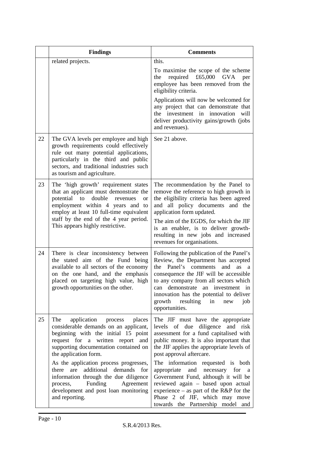|    | <b>Findings</b>                                                                                                                                                                                                                                                                                                                                                                                                                           | <b>Comments</b>                                                                                                                                                                                                                                                                                                                                                                                                                                                                                                     |
|----|-------------------------------------------------------------------------------------------------------------------------------------------------------------------------------------------------------------------------------------------------------------------------------------------------------------------------------------------------------------------------------------------------------------------------------------------|---------------------------------------------------------------------------------------------------------------------------------------------------------------------------------------------------------------------------------------------------------------------------------------------------------------------------------------------------------------------------------------------------------------------------------------------------------------------------------------------------------------------|
|    | related projects.                                                                                                                                                                                                                                                                                                                                                                                                                         | this.<br>To maximise the scope of the scheme<br>required £65,000 GVA<br>the<br>per<br>employee has been removed from the<br>eligibility criteria.<br>Applications will now be welcomed for<br>any project that can demonstrate that<br>the investment in innovation<br>will<br>deliver productivity gains/growth (jobs<br>and revenues).                                                                                                                                                                            |
| 22 | The GVA levels per employee and high<br>growth requirements could effectively<br>rule out many potential applications,<br>particularly in the third and public<br>sectors, and traditional industries such<br>as tourism and agriculture.                                                                                                                                                                                                 | See 21 above.                                                                                                                                                                                                                                                                                                                                                                                                                                                                                                       |
| 23 | The 'high growth' requirement states<br>that an applicant must demonstrate the<br>potential<br>to<br>double<br>revenues<br><sub>or</sub><br>employment within 4 years and to<br>employ at least 10 full-time equivalent<br>staff by the end of the 4 year period.<br>This appears highly restrictive.                                                                                                                                     | The recommendation by the Panel to<br>remove the reference to high growth in<br>the eligibility criteria has been agreed<br>and all policy documents<br>and the<br>application form updated.<br>The aim of the EGDS, for which the JIF<br>is an enabler, is to deliver growth-<br>resulting in new jobs and increased<br>revenues for organisations.                                                                                                                                                                |
| 24 | There is clear inconsistency between<br>the stated aim of the Fund being<br>available to all sectors of the economy<br>on the one hand, and the emphasis<br>placed on targeting high value, high<br>growth opportunities on the other.                                                                                                                                                                                                    | Following the publication of the Panel's<br>Review, the Department has accepted<br>the<br>Panel's<br>comments<br>and<br><b>as</b><br>a<br>consequence the JIF will be accessible<br>to any company from all sectors which<br>can demonstrate an investment in<br>innovation has the potential to deliver<br>growth resulting<br>in<br>new<br>job<br>opportunities.                                                                                                                                                  |
| 25 | application process places<br>The<br>considerable demands on an applicant,<br>beginning with the initial 15 point<br>request for a written report and<br>supporting documentation contained on<br>the application form.<br>As the application process progresses,<br>there are additional demands for<br>information through the due diligence<br>process, Funding<br>Agreement<br>development and post loan monitoring<br>and reporting. | The JIF must have the appropriate<br>levels of due diligence and risk<br>assessment for a fund capitalised with<br>public money. It is also important that<br>the JIF applies the appropriate levels of<br>post approval aftercare.<br>The information requested is both<br>appropriate and necessary for<br>a a<br>Government Fund, although it will be<br>reviewed again - based upon actual<br>experience – as part of the $R\&P$ for the<br>Phase 2 of JIF, which may move<br>towards the Partnership model and |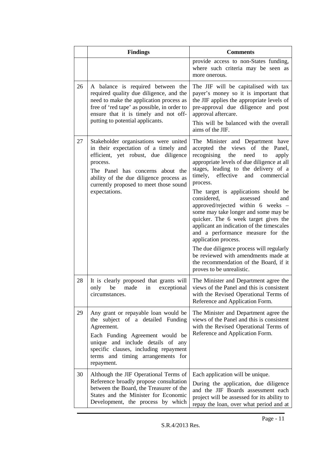|    | <b>Findings</b>                                                                                                                                                                                                                                                             | <b>Comments</b>                                                                                                                                                                                                                                                                                                                                                                                                                                                                                                                                                                                                                                                                                                                |
|----|-----------------------------------------------------------------------------------------------------------------------------------------------------------------------------------------------------------------------------------------------------------------------------|--------------------------------------------------------------------------------------------------------------------------------------------------------------------------------------------------------------------------------------------------------------------------------------------------------------------------------------------------------------------------------------------------------------------------------------------------------------------------------------------------------------------------------------------------------------------------------------------------------------------------------------------------------------------------------------------------------------------------------|
|    |                                                                                                                                                                                                                                                                             | provide access to non-States funding,<br>where such criteria may be seen as<br>more onerous.                                                                                                                                                                                                                                                                                                                                                                                                                                                                                                                                                                                                                                   |
| 26 | A balance is required between the<br>required quality due diligence, and the<br>need to make the application process as<br>free of 'red tape' as possible, in order to<br>ensure that it is timely and not off-<br>putting to potential applicants.                         | The JIF will be capitalised with tax<br>payer's money so it is important that<br>the JIF applies the appropriate levels of<br>pre-approval due diligence and post<br>approval aftercare.<br>This will be balanced with the overall<br>aims of the JIF.                                                                                                                                                                                                                                                                                                                                                                                                                                                                         |
| 27 | Stakeholder organisations were united<br>in their expectation of a timely and<br>efficient, yet robust, due diligence<br>process.<br>The Panel has concerns about the<br>ability of the due diligence process as<br>currently proposed to meet those sound<br>expectations. | The Minister and Department have<br>accepted the views of the Panel,<br>recognising the<br>need<br>to<br>apply<br>appropriate levels of due diligence at all<br>stages, leading to the delivery of a<br>timely, effective<br>and<br>commercial<br>process.<br>The target is applications should be<br>considered,<br>assessed<br>and<br>approved/rejected within 6 weeks -<br>some may take longer and some may be<br>quicker. The 6 week target gives the<br>applicant an indication of the timescales<br>and a performance measure for the<br>application process.<br>The due diligence process will regularly<br>be reviewed with amendments made at<br>the recommendation of the Board, if it<br>proves to be unrealistic. |
| 28 | It is clearly proposed that grants will<br>only be made in exceptional<br>circumstances.                                                                                                                                                                                    | The Minister and Department agree the<br>views of the Panel and this is consistent<br>with the Revised Operational Terms of<br>Reference and Application Form.                                                                                                                                                                                                                                                                                                                                                                                                                                                                                                                                                                 |
| 29 | Any grant or repayable loan would be<br>the subject of a detailed Funding<br>Agreement.<br>Each Funding Agreement would be<br>unique and include details of any<br>specific clauses, including repayment<br>terms and timing arrangements for<br>repayment.                 | The Minister and Department agree the<br>views of the Panel and this is consistent<br>with the Revised Operational Terms of<br>Reference and Application Form.                                                                                                                                                                                                                                                                                                                                                                                                                                                                                                                                                                 |
| 30 | Although the JIF Operational Terms of<br>Reference broadly propose consultation<br>between the Board, the Treasurer of the<br>States and the Minister for Economic<br>Development, the process by which                                                                     | Each application will be unique.<br>During the application, due diligence<br>and the JIF Boards assessment each<br>project will be assessed for its ability to<br>repay the loan, over what period and at                                                                                                                                                                                                                                                                                                                                                                                                                                                                                                                      |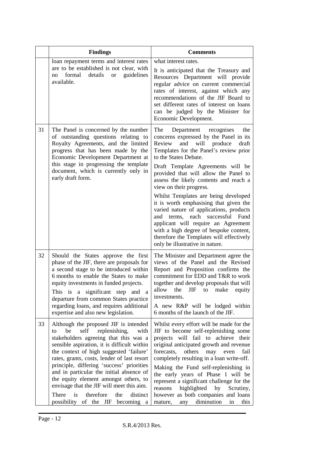|    | <b>Findings</b>                                                                                                                                                                                                                                                                                                                                                                                                                                                                                                                            | <b>Comments</b>                                                                                                                                                                                                                                                                                                                                                                                                                                                                                                                                                                                                                                                                  |
|----|--------------------------------------------------------------------------------------------------------------------------------------------------------------------------------------------------------------------------------------------------------------------------------------------------------------------------------------------------------------------------------------------------------------------------------------------------------------------------------------------------------------------------------------------|----------------------------------------------------------------------------------------------------------------------------------------------------------------------------------------------------------------------------------------------------------------------------------------------------------------------------------------------------------------------------------------------------------------------------------------------------------------------------------------------------------------------------------------------------------------------------------------------------------------------------------------------------------------------------------|
|    | loan repayment terms and interest rates<br>are to be established is not clear, with<br>formal<br>details<br>guidelines<br><b>or</b><br>no<br>available.                                                                                                                                                                                                                                                                                                                                                                                    | what interest rates.<br>It is anticipated that the Treasury and<br>Resources Department will provide<br>regular advice on current commercial<br>rates of interest, against which any<br>recommendations of the JIF Board to<br>set different rates of interest on loans<br>can be judged by the Minister for<br>Economic Development.                                                                                                                                                                                                                                                                                                                                            |
| 31 | The Panel is concerned by the number<br>of outstanding questions relating to<br>Royalty Agreements, and the limited<br>progress that has been made by the<br>Economic Development Department at<br>this stage in progressing the template<br>document, which is currently only in<br>early draft form.                                                                                                                                                                                                                                     | The<br>the<br>Department recognises<br>concerns expressed by the Panel in its<br>Review<br>and<br>will<br>produce<br>draft<br>Templates for the Panel's review prior<br>to the States Debate.<br>Draft Template Agreements will be<br>provided that will allow the Panel to<br>assess the likely contents and reach a<br>view on their progress.<br>Whilst Templates are being developed<br>it is worth emphasising that given the<br>varied nature of applications, products<br>and terms, each successful Fund<br>applicant will require an Agreement<br>with a high degree of bespoke content,<br>therefore the Templates will effectively<br>only be illustrative in nature. |
| 32 | Should the States approve the first<br>phase of the JIF, there are proposals for<br>a second stage to be introduced within<br>6 months to enable the States to make<br>equity investments in funded projects.<br>This is a significant step and<br>a a<br>departure from common States practice<br>regarding loans, and requires additional<br>expertise and also new legislation.                                                                                                                                                         | The Minister and Department agree the<br>views of the Panel and the Revised<br>Report and Proposition confirms the<br>commitment for EDD and T&R to work<br>together and develop proposals that will<br><b>JIF</b><br>allow<br>the<br>make<br>equity<br>to<br>investments.<br>A new R&P will be lodged within<br>6 months of the launch of the JIF.                                                                                                                                                                                                                                                                                                                              |
| 33 | Although the proposed JIF is intended<br>be<br>replenishing,<br>self<br>with<br>to<br>stakeholders agreeing that this was a<br>sensible aspiration, it is difficult within<br>the context of high suggested 'failure'<br>rates, grants, costs, lender of last resort<br>principle, differing 'success' priorities<br>and in particular the initial absence of<br>the equity element amongst others, to<br>envisage that the JIF will meet this aim.<br>therefore<br>is<br>distinct<br>There<br>the<br>possibility of the JIF<br>becoming a | Whilst every effort will be made for the<br>JIF to become self-replenishing some<br>projects will fail to achieve their<br>original anticipated growth and revenue<br>others<br>forecasts,<br>fail<br>may<br>even<br>completely resulting in a loan write-off.<br>Making the Fund self-replenishing in<br>the early years of Phase 1 will be<br>represent a significant challenge for the<br>reasons<br>highlighted<br>by<br>Scrutiny,<br>however as both companies and loans<br>any diminution<br>mature,<br>in<br>this                                                                                                                                                         |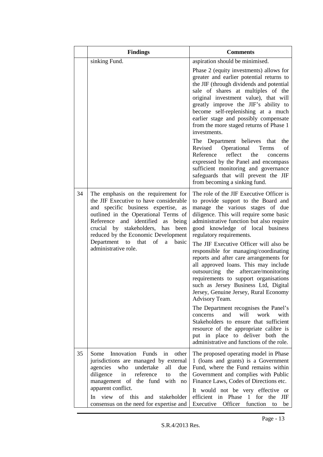|    | <b>Findings</b>                                                                                                                                                                                                                                                                                                                                                | <b>Comments</b>                                                                                                                                                                                                                                                                                                                                                                                                                                                                                                                                                                                                                                                                                                                                                                                                                                                                                  |
|----|----------------------------------------------------------------------------------------------------------------------------------------------------------------------------------------------------------------------------------------------------------------------------------------------------------------------------------------------------------------|--------------------------------------------------------------------------------------------------------------------------------------------------------------------------------------------------------------------------------------------------------------------------------------------------------------------------------------------------------------------------------------------------------------------------------------------------------------------------------------------------------------------------------------------------------------------------------------------------------------------------------------------------------------------------------------------------------------------------------------------------------------------------------------------------------------------------------------------------------------------------------------------------|
|    | sinking Fund.                                                                                                                                                                                                                                                                                                                                                  | aspiration should be minimised.<br>Phase 2 (equity investments) allows for<br>greater and earlier potential returns to<br>the JIF (through dividends and potential<br>sale of shares at multiples of the<br>original investment value), that will<br>greatly improve the JIF's ability to<br>become self-replenishing at a much<br>earlier stage and possibly compensate<br>from the more staged returns of Phase 1<br>investments.<br>The Department believes that the<br>Revised Operational<br>Terms<br>of<br>Reference<br>reflect<br>the<br>concerns<br>expressed by the Panel and encompass<br>sufficient monitoring and governance<br>safeguards that will prevent the JIF<br>from becoming a sinking fund.                                                                                                                                                                                |
| 34 | The emphasis on the requirement for<br>the JIF Executive to have considerable<br>and specific business expertise,<br>as<br>outlined in the Operational Terms of<br>Reference<br>and identified<br>being<br>as<br>crucial by stakeholders,<br>been<br>has<br>reduced by the Economic Development<br>Department to that of<br>a<br>basic<br>administrative role. | The role of the JIF Executive Officer is<br>to provide support to the Board and<br>manage the various stages of due<br>diligence. This will require some basic<br>administrative function but also require<br>good knowledge of local business<br>regulatory requirements.<br>The JIF Executive Officer will also be<br>responsible for managing/coordinating<br>reports and after care arrangements for<br>all approved loans. This may include<br>outsourcing the aftercare/monitoring<br>requirements to support organisations<br>such as Jersey Business Ltd, Digital<br>Jersey, Genuine Jersey, Rural Economy<br>Advisory Team.<br>The Department recognises the Panel's<br>and<br>will<br>work<br>concerns<br>with<br>Stakeholders to ensure that sufficient<br>resource of the appropriate calibre is<br>put in place to deliver<br>both the<br>administrative and functions of the role. |
| 35 | Innovation<br>Funds<br>Some<br>in<br>other<br>jurisdictions are managed by external<br>undertake<br>agencies<br>who<br>all<br>due<br>diligence<br>in<br>reference<br>the<br>to<br>management of the fund<br>with no<br>apparent conflict.<br>of this<br>view<br>and<br>stakeholder<br><b>In</b><br>consensus on the need for expertise and                     | The proposed operating model in Phase<br>1 (loans and grants) is a Government<br>Fund, where the Fund remains within<br>Government and complies with Public<br>Finance Laws, Codes of Directions etc.<br>It would not be very effective or<br>efficient in Phase 1 for<br>the<br>JIF<br>Executive Officer function<br>be<br>to                                                                                                                                                                                                                                                                                                                                                                                                                                                                                                                                                                   |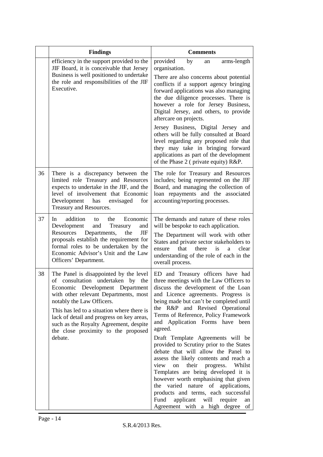|    | <b>Findings</b>                                                                                                                                                                                                                                                                                                                                                             | <b>Comments</b>                                                                                                                                                                                                                                                                                                                                                                                                                                                                                                                                                                                                                                                                                                                                                                          |
|----|-----------------------------------------------------------------------------------------------------------------------------------------------------------------------------------------------------------------------------------------------------------------------------------------------------------------------------------------------------------------------------|------------------------------------------------------------------------------------------------------------------------------------------------------------------------------------------------------------------------------------------------------------------------------------------------------------------------------------------------------------------------------------------------------------------------------------------------------------------------------------------------------------------------------------------------------------------------------------------------------------------------------------------------------------------------------------------------------------------------------------------------------------------------------------------|
|    | efficiency in the support provided to the<br>JIF Board, it is conceivable that Jersey<br>Business is well positioned to undertake<br>the role and responsibilities of the JIF<br>Executive.                                                                                                                                                                                 | provided<br>by<br>arms-length<br>an<br>organisation.<br>There are also concerns about potential<br>conflicts if a support agency bringing<br>forward applications was also managing<br>the due diligence processes. There is<br>however a role for Jersey Business,<br>Digital Jersey, and others, to provide<br>aftercare on projects.                                                                                                                                                                                                                                                                                                                                                                                                                                                  |
|    |                                                                                                                                                                                                                                                                                                                                                                             | Jersey Business, Digital Jersey and<br>others will be fully consulted at Board<br>level regarding any proposed role that<br>they may take in bringing forward<br>applications as part of the development<br>of the Phase 2 (private equity) R&P.                                                                                                                                                                                                                                                                                                                                                                                                                                                                                                                                         |
| 36 | There is a discrepancy between the<br>limited role Treasury and Resources<br>expects to undertake in the JIF, and the<br>level of involvement that Economic<br>Development has envisaged<br>for<br>Treasury and Resources.                                                                                                                                                  | The role for Treasury and Resources<br>includes; being represented on the JIF<br>Board, and managing the collection of<br>loan repayments and the associated<br>accounting/reporting processes.                                                                                                                                                                                                                                                                                                                                                                                                                                                                                                                                                                                          |
| 37 | addition<br>the<br>Economic<br><sub>In</sub><br>to<br>Treasury<br>Development<br>and<br>and<br>Resources<br>Departments,<br>the<br>JIF<br>proposals establish the requirement for<br>formal roles to be undertaken by the<br>Economic Advisor's Unit and the Law<br>Officers' Department.                                                                                   | The demands and nature of these roles<br>will be bespoke to each application.<br>The Department will work with other<br>States and private sector stakeholders to<br>that<br>there<br>is<br>clear<br>ensure<br>a<br>understanding of the role of each in the<br>overall process.                                                                                                                                                                                                                                                                                                                                                                                                                                                                                                         |
| 38 | The Panel is disappointed by the level<br>of consultation undertaken by the<br>Economic Development Department<br>with other relevant Departments, most<br>notably the Law Officers.<br>This has led to a situation where there is<br>lack of detail and progress on key areas,<br>such as the Royalty Agreement, despite<br>the close proximity to the proposed<br>debate. | ED and Treasury officers have had<br>three meetings with the Law Officers to<br>discuss the development of the Loan<br>and Licence agreements. Progress is<br>being made but can't be completed until<br>the R&P and Revised Operational<br>Terms of Reference, Policy Framework<br>and Application Forms have been<br>agreed.<br>Draft Template Agreements will be<br>provided to Scrutiny prior to the States<br>debate that will allow the Panel to<br>assess the likely contents and reach a<br>their progress. Whilst<br>view<br>on<br>Templates are being developed it is<br>however worth emphasising that given<br>varied nature of applications,<br>the<br>products and terms, each successful<br>Fund<br>applicant<br>will<br>require<br>an<br>Agreement with a high degree of |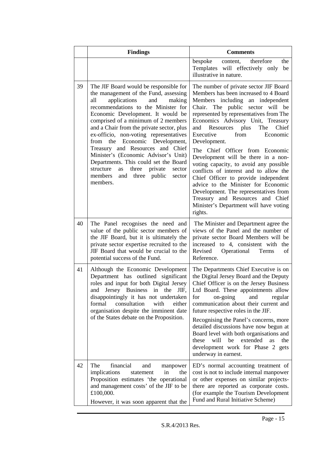|    | <b>Findings</b>                                                                                                                                                                                                                                                                                                                                                                                                                                                                                                                                                                                         | <b>Comments</b>                                                                                                                                                                                                                                                                                                                                                                                                                                                                                                                                                                                                                                                                                                     |
|----|---------------------------------------------------------------------------------------------------------------------------------------------------------------------------------------------------------------------------------------------------------------------------------------------------------------------------------------------------------------------------------------------------------------------------------------------------------------------------------------------------------------------------------------------------------------------------------------------------------|---------------------------------------------------------------------------------------------------------------------------------------------------------------------------------------------------------------------------------------------------------------------------------------------------------------------------------------------------------------------------------------------------------------------------------------------------------------------------------------------------------------------------------------------------------------------------------------------------------------------------------------------------------------------------------------------------------------------|
|    |                                                                                                                                                                                                                                                                                                                                                                                                                                                                                                                                                                                                         | therefore<br>the<br>bespoke<br>content,<br>Templates will effectively only<br>be<br>illustrative in nature.                                                                                                                                                                                                                                                                                                                                                                                                                                                                                                                                                                                                         |
| 39 | The JIF Board would be responsible for<br>the management of the Fund, assessing<br>applications<br>all<br>and<br>making<br>recommendations to the Minister for<br>Economic Development. It would be<br>comprised of a minimum of 2 members<br>and a Chair from the private sector, plus<br>ex-officio, non-voting representatives<br>the Economic Development,<br>from<br>Treasury and Resources and Chief<br>Minister's (Economic Advisor's Unit)<br>Departments. This could set the Board<br>structure<br>three<br>private<br>as<br>sector<br>members<br>three<br>and<br>public<br>sector<br>members. | The number of private sector JIF Board<br>Members has been increased to 4 Board<br>Members including<br>an independent<br>Chair. The public sector will be<br>represented by representatives from The<br>Economics Advisory Unit, Treasury<br>Resources plus<br>The<br>Chief<br>and<br>from<br>Executive<br>Economic<br>Development.<br>The Chief Officer from Economic<br>Development will be there in a non-<br>voting capacity, to avoid any possible<br>conflicts of interest and to allow the<br>Chief Officer to provide independent<br>advice to the Minister for Economic<br>Development. The representatives from<br>Treasury and Resources and Chief<br>Minister's Department will have voting<br>rights. |
| 40 | The Panel recognises the need and<br>value of the public sector members of<br>the JIF Board, but it is ultimately the<br>private sector expertise recruited to the<br>JIF Board that would be crucial to the<br>potential success of the Fund.                                                                                                                                                                                                                                                                                                                                                          | The Minister and Department agree the<br>views of the Panel and the number of<br>private sector Board Members will be<br>increased to 4, consistent with the<br>Revised<br>Operational<br>Terms<br>of<br>Reference.                                                                                                                                                                                                                                                                                                                                                                                                                                                                                                 |
| 41 | Although the Economic Development<br>Department has outlined significant<br>roles and input for both Digital Jersey<br>and<br>Jersey Business<br>in the<br>JIF,<br>disappointingly it has not undertaken<br>consultation<br>formal<br>with<br>either<br>organisation despite the imminent date<br>of the States debate on the Proposition.                                                                                                                                                                                                                                                              | The Departments Chief Executive is on<br>the Digital Jersey Board and the Deputy<br>Chief Officer is on the Jersey Business<br>Ltd Board. These appointments allow<br>for<br>and<br>on-going<br>regular<br>communication about their current and<br>future respective roles in the JIF.<br>Recognising the Panel's concerns, more<br>detailed discussions have now begun at<br>Board level with both organisations and<br>will<br>be<br>extended<br>these<br>as<br>the<br>development work for Phase 2 gets<br>underway in earnest.                                                                                                                                                                                 |
| 42 | The<br>financial<br>manpower<br>and<br>implications<br>in<br>statement<br>the<br>Proposition estimates 'the operational<br>and management costs' of the JIF to be<br>£100,000.<br>However, it was soon apparent that the                                                                                                                                                                                                                                                                                                                                                                                | ED's normal accounting treatment of<br>cost is not to include internal manpower<br>or other expenses on similar projects-<br>there are reported as corporate costs.<br>(for example the Tourism Development<br>Fund and Rural Initiative Scheme)                                                                                                                                                                                                                                                                                                                                                                                                                                                                    |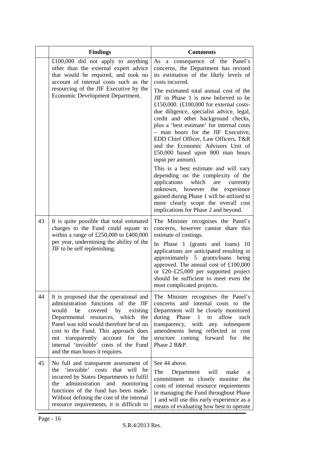|    | <b>Findings</b>                                                                                                                                                                                                                                                                                                                                                     | <b>Comments</b>                                                                                                                                                                                                                                                                                                                                                                                                                                                                                                                                                                                                                                                                                                                                                                                                                                                                                  |
|----|---------------------------------------------------------------------------------------------------------------------------------------------------------------------------------------------------------------------------------------------------------------------------------------------------------------------------------------------------------------------|--------------------------------------------------------------------------------------------------------------------------------------------------------------------------------------------------------------------------------------------------------------------------------------------------------------------------------------------------------------------------------------------------------------------------------------------------------------------------------------------------------------------------------------------------------------------------------------------------------------------------------------------------------------------------------------------------------------------------------------------------------------------------------------------------------------------------------------------------------------------------------------------------|
|    | £100,000 did not apply to anything<br>other than the external expert advice<br>that would be required, and took no<br>account of internal costs such as the<br>resourcing of the JIF Executive by the<br>Economic Development Department.                                                                                                                           | As a consequence of the Panel's<br>concerns, the Department has revised<br>its estimation of the likely levels of<br>costs incurred.<br>The estimated total annual cost of the<br>JIF in Phase 1 is now believed to be<br>£150,000. $(\text{\textsterling}100,000$ for external costs-<br>due diligence, specialist advice, legal,<br>credit and other background checks,<br>plus a 'best estimate' for internal costs<br>- man hours for the JIF Executive,<br>EDD Chief Officer, Law Officers, T&R<br>and the Economic Advisors Unit of<br>£50,000 based upon 800 man hours<br>input per annum).<br>This is a best estimate and will vary<br>depending on the complexity of the<br>applications<br>which<br>are<br>currently<br>unknown, however the<br>experience<br>gained during Phase 1 will be utilised to<br>more clearly scope the overall cost<br>implications for Phase 2 and beyond. |
| 43 | It is quite possible that total estimated<br>charges to the Fund could equate to<br>within a range of £250,000 to £400,000<br>per year, undermining the ability of the<br>JIF to be self replenishing.                                                                                                                                                              | The Minister recognises the Panel's<br>concerns, however cannot share this<br>estimate of costings.<br>In Phase 1 (grants and loans) 10<br>applications are anticipated resulting in<br>approximately 5 grants/loans being<br>approved. The annual cost of £100,000<br>or £20-£25,000 per supported project<br>should be sufficient to meet even the<br>most complicated projects.                                                                                                                                                                                                                                                                                                                                                                                                                                                                                                               |
| 44 | It is proposed that the operational and<br>administration functions of the JIF<br>would<br>be<br>covered by<br>existing<br>Departmental resources, which the<br>Panel was told would therefore be of no<br>cost to the Fund. This approach does<br>transparently account for the<br>not<br>internal 'invisible' costs of the Fund<br>and the man hours it requires. | The Minister recognises the Panel's<br>concerns and internal costs to the<br>Department will be closely monitored<br>during Phase 1 to<br>allow<br>such<br>transparency, with<br>any<br>subsequent<br>amendments being reflected in cost<br>structure coming forward for<br>the<br>Phase 2 R&P.                                                                                                                                                                                                                                                                                                                                                                                                                                                                                                                                                                                                  |
| 45 | No full and transparent assessment of<br>'invisible' costs that will be<br>the<br>incurred by States Departments to fulfil<br>administration<br>and<br>the<br>monitoring<br>functions of the fund has been made.<br>Without defining the cost of the internal<br>resource requirements, it is difficult to                                                          | See 44 above.<br>The<br>Department<br>will<br>make<br>a<br>commitment to closely monitor the<br>costs of internal resource requirements<br>in managing the Fund throughout Phase<br>1 and will use this early experience as a<br>means of evaluating how best to operate                                                                                                                                                                                                                                                                                                                                                                                                                                                                                                                                                                                                                         |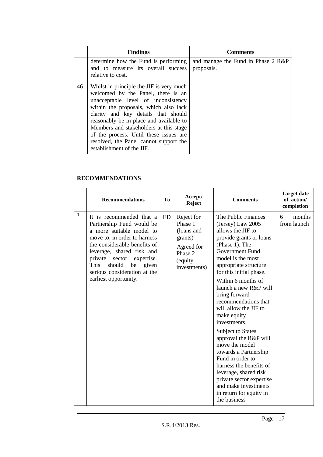|    | <b>Findings</b>                                                                                                                                                                                                                                                                                                                                                                                             | <b>Comments</b>                                  |
|----|-------------------------------------------------------------------------------------------------------------------------------------------------------------------------------------------------------------------------------------------------------------------------------------------------------------------------------------------------------------------------------------------------------------|--------------------------------------------------|
|    | determine how the Fund is performing<br>and to measure its overall success<br>relative to cost.                                                                                                                                                                                                                                                                                                             | and manage the Fund in Phase 2 R&P<br>proposals. |
| 46 | Whilst in principle the JIF is very much<br>welcomed by the Panel, there is an<br>unacceptable level of inconsistency<br>within the proposals, which also lack<br>clarity and key details that should<br>reasonably be in place and available to<br>Members and stakeholders at this stage<br>of the process. Until these issues are<br>resolved, the Panel cannot support the<br>establishment of the JIF. |                                                  |

### **RECOMMENDATIONS**

| 1<br>It is recommended that a<br>ED<br>Reject for                                                                                                                                                                                                                                                                                                                           | <b>Comments</b>                                                                                                                                                                                                                                                                                                                                                                                                                                                                                                                                                                                                               | of action/<br>completion   |
|-----------------------------------------------------------------------------------------------------------------------------------------------------------------------------------------------------------------------------------------------------------------------------------------------------------------------------------------------------------------------------|-------------------------------------------------------------------------------------------------------------------------------------------------------------------------------------------------------------------------------------------------------------------------------------------------------------------------------------------------------------------------------------------------------------------------------------------------------------------------------------------------------------------------------------------------------------------------------------------------------------------------------|----------------------------|
| Phase 1<br>Partnership Fund would be<br>a more suitable model to<br>(loans and<br>move to, in order to harness<br>grants)<br>the considerable benefits of<br>Agreed for<br>leverage, shared risk and<br>Phase 2<br>private<br>sector expertise.<br>(equity<br><b>This</b><br>should<br>given<br>be<br>investments)<br>serious consideration at the<br>earliest opportunity. | The Public Finances<br>(Jersey) Law 2005<br>allows the JIF to<br>provide grants or loans<br>(Phase 1). The<br>Government Fund<br>model is the most<br>appropriate structure<br>for this initial phase.<br>Within 6 months of<br>launch a new R&P will<br>bring forward<br>recommendations that<br>will allow the JIF to<br>make equity<br>investments.<br><b>Subject to States</b><br>approval the R&P will<br>move the model<br>towards a Partnership<br>Fund in order to<br>harness the benefits of<br>leverage, shared risk<br>private sector expertise<br>and make investments<br>in return for equity in<br>the business | months<br>6<br>from launch |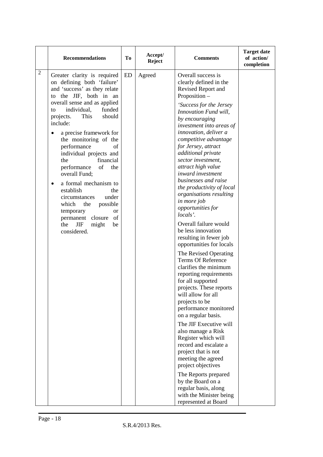|   | <b>Recommendations</b>                                                                                                                                                         | To | Accept/<br><b>Reject</b> | <b>Comments</b>                                                                                                                                                                             | <b>Target date</b><br>of action/<br>completion |
|---|--------------------------------------------------------------------------------------------------------------------------------------------------------------------------------|----|--------------------------|---------------------------------------------------------------------------------------------------------------------------------------------------------------------------------------------|------------------------------------------------|
| 2 | Greater clarity is required<br>on defining both 'failure'<br>and 'success' as they relate<br>to the JIF, both in an                                                            | ED | Agreed                   | Overall success is<br>clearly defined in the<br>Revised Report and<br>Proposition-                                                                                                          |                                                |
|   | overall sense and as applied<br>individual,<br>funded<br>to<br>This<br>should<br>projects.<br>include:                                                                         |    |                          | 'Success for the Jersey<br>Innovation Fund will,<br>by encouraging<br>investment into areas of                                                                                              |                                                |
|   | a precise framework for<br>$\bullet$<br>the monitoring of the<br>performance<br>of<br>individual projects and<br>financial<br>the<br>performance<br>of<br>the<br>overall Fund; |    |                          | innovation, deliver a<br>competitive advantage<br>for Jersey, attract<br>additional private<br>sector investment,<br>attract high value<br><i>inward investment</i><br>businesses and raise |                                                |
|   | a formal mechanism to<br>$\bullet$<br>establish<br>the<br>under<br>circumstances<br>which<br>the<br>possible<br>temporary<br>or<br>permanent closure of                        |    |                          | the productivity of local<br>organisations resulting<br>in more job<br>opportunities for<br>locals'.                                                                                        |                                                |
|   | JIF<br>the<br>might<br>be<br>considered.                                                                                                                                       |    |                          | Overall failure would<br>be less innovation<br>resulting in fewer job<br>opportunities for locals                                                                                           |                                                |
|   |                                                                                                                                                                                |    |                          | The Revised Operating<br><b>Terms Of Reference</b><br>clarifies the minimum<br>reporting requirements<br>for all supported                                                                  |                                                |
|   |                                                                                                                                                                                |    |                          | projects. These reports<br>will allow for all<br>projects to be<br>performance monitored<br>on a regular basis.                                                                             |                                                |
|   |                                                                                                                                                                                |    |                          | The JIF Executive will<br>also manage a Risk<br>Register which will<br>record and escalate a<br>project that is not                                                                         |                                                |
|   |                                                                                                                                                                                |    |                          | meeting the agreed<br>project objectives<br>The Reports prepared<br>by the Board on a<br>regular basis, along                                                                               |                                                |
|   |                                                                                                                                                                                |    |                          | with the Minister being<br>represented at Board                                                                                                                                             |                                                |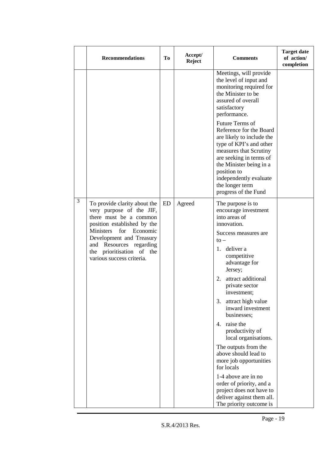|   | <b>Recommendations</b>                                                                                                                                                                                                                                             | To | Accept/<br><b>Reject</b> | <b>Comments</b>                                                                                                                                                                                                                                                                                                                                                                                                                                                                                                                                                                                     | <b>Target date</b><br>of action/<br>completion |
|---|--------------------------------------------------------------------------------------------------------------------------------------------------------------------------------------------------------------------------------------------------------------------|----|--------------------------|-----------------------------------------------------------------------------------------------------------------------------------------------------------------------------------------------------------------------------------------------------------------------------------------------------------------------------------------------------------------------------------------------------------------------------------------------------------------------------------------------------------------------------------------------------------------------------------------------------|------------------------------------------------|
|   |                                                                                                                                                                                                                                                                    |    |                          | Meetings, will provide<br>the level of input and<br>monitoring required for<br>the Minister to be<br>assured of overall<br>satisfactory<br>performance.<br>Future Terms of<br>Reference for the Board<br>are likely to include the<br>type of KPI's and other<br>measures that Scrutiny<br>are seeking in terms of<br>the Minister being in a<br>position to<br>independently evaluate<br>the longer term<br>progress of the Fund                                                                                                                                                                   |                                                |
| 3 | To provide clarity about the<br>very purpose of the JIF,<br>there must be a common<br>position established by the<br>Ministers<br>for<br>Economic<br>Development and Treasury<br>and Resources regarding<br>the prioritisation of the<br>various success criteria. | ED | Agreed                   | The purpose is to<br>encourage investment<br>into areas of<br>innovation.<br>Success measures are<br>$to -$<br>deliver a<br>1.<br>competitive<br>advantage for<br>Jersey;<br>attract additional<br>2.<br>private sector<br>investment;<br>attract high value<br>3.<br>inward investment<br>businesses;<br>raise the<br>4.<br>productivity of<br>local organisations.<br>The outputs from the<br>above should lead to<br>more job opportunities<br>for locals<br>1-4 above are in no<br>order of priority, and a<br>project does not have to<br>deliver against them all.<br>The priority outcome is |                                                |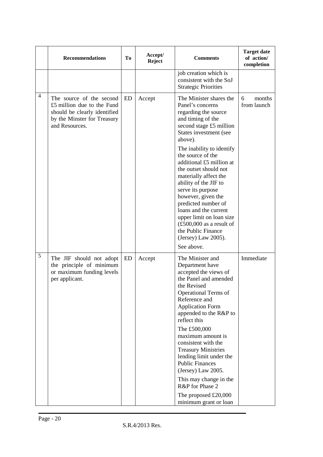|                | <b>Recommendations</b>                                                                                                                  | Tо | Accept/<br><b>Reject</b> | <b>Comments</b>                                                                                                                                                                                                                                                                                                                                                                                                                                                                                                                                | <b>Target date</b><br>of action/<br>completion |
|----------------|-----------------------------------------------------------------------------------------------------------------------------------------|----|--------------------------|------------------------------------------------------------------------------------------------------------------------------------------------------------------------------------------------------------------------------------------------------------------------------------------------------------------------------------------------------------------------------------------------------------------------------------------------------------------------------------------------------------------------------------------------|------------------------------------------------|
|                |                                                                                                                                         |    |                          | job creation which is<br>consistent with the SoJ<br><b>Strategic Priorities</b>                                                                                                                                                                                                                                                                                                                                                                                                                                                                |                                                |
| $\overline{4}$ | The source of the second<br>£5 million due to the Fund<br>should be clearly identified<br>by the Minster for Treasury<br>and Resources. | ED | Accept                   | The Minister shares the<br>Panel's concerns<br>regarding the source<br>and timing of the<br>second stage £5 million<br>States investment (see<br>above).<br>The inability to identify<br>the source of the<br>additional £5 million at<br>the outset should not<br>materially affect the<br>ability of the JIF to<br>serve its purpose<br>however, given the<br>predicted number of<br>loans and the current<br>upper limit on loan size<br>$(\text{\pounds}500,000$ as a result of<br>the Public Finance<br>(Jersey) Law 2005).<br>See above. | months<br>6<br>from launch                     |
| 5              | The JIF should not adopt<br>the principle of minimum<br>or maximum funding levels<br>per applicant.                                     | ED | Accept                   | The Minister and<br>Department have<br>accepted the views of<br>the Panel and amended<br>the Revised<br><b>Operational Terms of</b><br>Reference and<br><b>Application Form</b><br>appended to the R&P to<br>reflect this<br>The £500,000<br>maximum amount is<br>consistent with the<br><b>Treasury Ministries</b><br>lending limit under the<br><b>Public Finances</b><br>(Jersey) Law 2005.<br>This may change in the<br>R&P for Phase 2<br>The proposed £20,000<br>minimum grant or loan                                                   | Immediate                                      |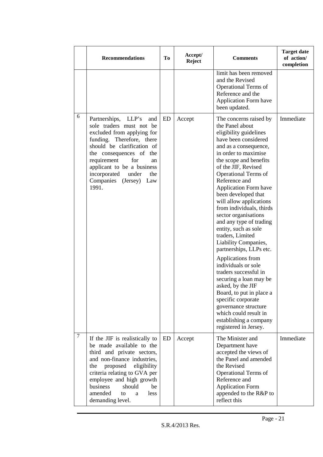|                | <b>Recommendations</b>                                                                                                                                                                                                                                                                                        | To | Accept/<br><b>Reject</b> | <b>Comments</b>                                                                                                                                                                                                                                                                                                                                                                                                                                                                                                                                                                                                                                                                                                                                                                         | <b>Target date</b><br>of action/<br>completion |
|----------------|---------------------------------------------------------------------------------------------------------------------------------------------------------------------------------------------------------------------------------------------------------------------------------------------------------------|----|--------------------------|-----------------------------------------------------------------------------------------------------------------------------------------------------------------------------------------------------------------------------------------------------------------------------------------------------------------------------------------------------------------------------------------------------------------------------------------------------------------------------------------------------------------------------------------------------------------------------------------------------------------------------------------------------------------------------------------------------------------------------------------------------------------------------------------|------------------------------------------------|
|                |                                                                                                                                                                                                                                                                                                               |    |                          | limit has been removed<br>and the Revised<br><b>Operational Terms of</b><br>Reference and the<br><b>Application Form have</b><br>been updated.                                                                                                                                                                                                                                                                                                                                                                                                                                                                                                                                                                                                                                          |                                                |
| 6              | Partnerships,<br>LLP's<br>and<br>sole traders must not be<br>excluded from applying for<br>funding. Therefore, there<br>should be clarification of<br>the consequences of the<br>requirement<br>for<br>an<br>applicant to be a business<br>incorporated<br>under<br>the<br>Companies (Jersey)<br>Law<br>1991. | ED | Accept                   | The concerns raised by<br>the Panel about<br>eligibility guidelines<br>have been considered<br>and as a consequence,<br>in order to maximise<br>the scope and benefits<br>of the JIF, Revised<br><b>Operational Terms of</b><br>Reference and<br><b>Application Form have</b><br>been developed that<br>will allow applications<br>from individuals, thirds<br>sector organisations<br>and any type of trading<br>entity, such as sole<br>traders, Limited<br>Liability Companies,<br>partnerships, LLPs etc.<br>Applications from<br>individuals or sole<br>traders successful in<br>securing a loan may be<br>asked, by the JIF<br>Board, to put in place a<br>specific corporate<br>governance structure<br>which could result in<br>establishing a company<br>registered in Jersey. | Immediate                                      |
| $\overline{7}$ | If the JIF is realistically to<br>be made available to the<br>third and private sectors,<br>and non-finance industries,<br>proposed<br>eligibility<br>the<br>criteria relating to GVA per<br>employee and high growth<br>business<br>should<br>be<br>amended<br>to<br>less<br>a<br>demanding level.           | ED | Accept                   | The Minister and<br>Department have<br>accepted the views of<br>the Panel and amended<br>the Revised<br><b>Operational Terms of</b><br>Reference and<br><b>Application Form</b><br>appended to the R&P to<br>reflect this                                                                                                                                                                                                                                                                                                                                                                                                                                                                                                                                                               | Immediate                                      |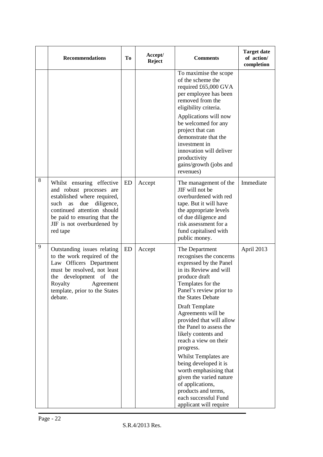|   | <b>Recommendations</b>                                                                                                                                                                                                          | To | Accept/<br><b>Reject</b> | <b>Comments</b>                                                                                                                                                                                                                                                                                                                                                                                                                                                                                                                                    | <b>Target date</b><br>of action/<br>completion |
|---|---------------------------------------------------------------------------------------------------------------------------------------------------------------------------------------------------------------------------------|----|--------------------------|----------------------------------------------------------------------------------------------------------------------------------------------------------------------------------------------------------------------------------------------------------------------------------------------------------------------------------------------------------------------------------------------------------------------------------------------------------------------------------------------------------------------------------------------------|------------------------------------------------|
|   |                                                                                                                                                                                                                                 |    |                          | To maximise the scope<br>of the scheme the<br>required £65,000 GVA<br>per employee has been<br>removed from the<br>eligibility criteria.<br>Applications will now<br>be welcomed for any<br>project that can<br>demonstrate that the<br>investment in<br>innovation will deliver<br>productivity<br>gains/growth (jobs and<br>revenues)                                                                                                                                                                                                            |                                                |
| 8 | Whilst ensuring effective<br>and robust processes are<br>established where required,<br>such<br>as<br>due<br>diligence,<br>continued attention should<br>be paid to ensuring that the<br>JIF is not overburdened by<br>red tape | ED | Accept                   | The management of the<br>JIF will not be<br>overburdened with red<br>tape. But it will have<br>the appropriate levels<br>of due diligence and<br>risk assessment for a<br>fund capitalised with<br>public money.                                                                                                                                                                                                                                                                                                                                   | Immediate                                      |
| 9 | Outstanding issues relating<br>to the work required of the<br>Law Officers Department<br>must be resolved, not least<br>development of the<br>the<br>Royalty<br>Agreement<br>template, prior to the States<br>debate.           | ED | Accept                   | The Department<br>recognises the concerns<br>expressed by the Panel<br>in its Review and will<br>produce draft<br>Templates for the<br>Panel's review prior to<br>the States Debate<br>Draft Template<br>Agreements will be<br>provided that will allow<br>the Panel to assess the<br>likely contents and<br>reach a view on their<br>progress.<br>Whilst Templates are<br>being developed it is<br>worth emphasising that<br>given the varied nature<br>of applications,<br>products and terms,<br>each successful Fund<br>applicant will require | April 2013                                     |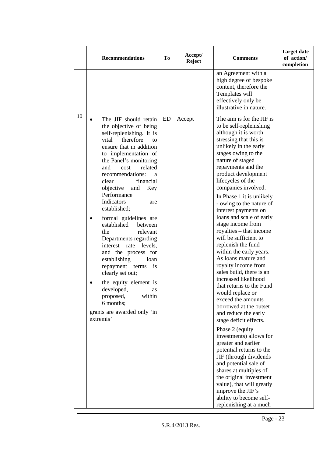|    | <b>Recommendations</b>                                                                                                                                                                                                                                                                                                                                                                                                                                                                                                                                                                                                                                                                           | To | Accept/<br><b>Reject</b> | <b>Comments</b>                                                                                                                                                                                                                                                                                                                                                                                                                                                                                                                                                                                                                                                                                                                                                                                                                                                                                                                                                                                                                                                                | <b>Target date</b><br>of action/<br>completion |
|----|--------------------------------------------------------------------------------------------------------------------------------------------------------------------------------------------------------------------------------------------------------------------------------------------------------------------------------------------------------------------------------------------------------------------------------------------------------------------------------------------------------------------------------------------------------------------------------------------------------------------------------------------------------------------------------------------------|----|--------------------------|--------------------------------------------------------------------------------------------------------------------------------------------------------------------------------------------------------------------------------------------------------------------------------------------------------------------------------------------------------------------------------------------------------------------------------------------------------------------------------------------------------------------------------------------------------------------------------------------------------------------------------------------------------------------------------------------------------------------------------------------------------------------------------------------------------------------------------------------------------------------------------------------------------------------------------------------------------------------------------------------------------------------------------------------------------------------------------|------------------------------------------------|
|    |                                                                                                                                                                                                                                                                                                                                                                                                                                                                                                                                                                                                                                                                                                  |    |                          | an Agreement with a<br>high degree of bespoke<br>content, therefore the<br>Templates will<br>effectively only be<br>illustrative in nature.                                                                                                                                                                                                                                                                                                                                                                                                                                                                                                                                                                                                                                                                                                                                                                                                                                                                                                                                    |                                                |
| 10 | The JIF should retain<br>the objective of being<br>self-replenishing. It is<br>therefore<br>vital<br>to<br>ensure that in addition<br>to implementation of<br>the Panel's monitoring<br>related<br>and<br>cost<br>recommendations:<br>a<br>financial<br>clear<br>objective<br>and<br>Key<br>Performance<br>Indicators<br>are<br>established;<br>formal guidelines are<br>established<br>between<br>relevant<br>the<br>Departments regarding<br>levels,<br>interest rate<br>and the process for<br>establishing<br>loan<br>repayment terms<br>is<br>clearly set out;<br>the equity element is<br>developed,<br>as<br>within<br>proposed,<br>6 months;<br>grants are awarded only 'in<br>extremis' | ED | Accept                   | The aim is for the JIF is<br>to be self-replenishing<br>although it is worth<br>stressing that this is<br>unlikely in the early<br>stages owing to the<br>nature of staged<br>repayments and the<br>product development<br>lifecycles of the<br>companies involved.<br>In Phase 1 it is unlikely<br>- owing to the nature of<br>interest payments on<br>loans and scale of early<br>stage income from<br>royalties – that income<br>will be sufficient to<br>replenish the fund<br>within the early years.<br>As loans mature and<br>royalty income from<br>sales build, there is an<br>increased likelihood<br>that returns to the Fund<br>would replace or<br>exceed the amounts<br>borrowed at the outset<br>and reduce the early<br>stage deficit effects.<br>Phase 2 (equity<br>investments) allows for<br>greater and earlier<br>potential returns to the<br>JIF (through dividends<br>and potential sale of<br>shares at multiples of<br>the original investment<br>value), that will greatly<br>improve the JIF's<br>ability to become self-<br>replenishing at a much |                                                |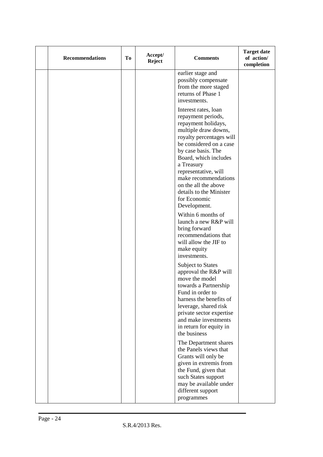| <b>Recommendations</b> | Tо | Accept/<br><b>Reject</b> | <b>Comments</b>                                                                                                                                                                                                                                                                                                                                                                                                                                                                                                                                                                                                      | <b>Target date</b><br>of action/<br>completion |
|------------------------|----|--------------------------|----------------------------------------------------------------------------------------------------------------------------------------------------------------------------------------------------------------------------------------------------------------------------------------------------------------------------------------------------------------------------------------------------------------------------------------------------------------------------------------------------------------------------------------------------------------------------------------------------------------------|------------------------------------------------|
|                        |    |                          | earlier stage and<br>possibly compensate<br>from the more staged<br>returns of Phase 1<br>investments.                                                                                                                                                                                                                                                                                                                                                                                                                                                                                                               |                                                |
|                        |    |                          | Interest rates, loan<br>repayment periods,<br>repayment holidays,<br>multiple draw downs,<br>royalty percentages will<br>be considered on a case<br>by case basis. The<br>Board, which includes<br>a Treasury<br>representative, will<br>make recommendations<br>on the all the above<br>details to the Minister<br>for Economic<br>Development.<br>Within 6 months of<br>launch a new R&P will<br>bring forward<br>recommendations that<br>will allow the JIF to<br>make equity<br>investments.<br><b>Subject to States</b><br>approval the R&P will<br>move the model<br>towards a Partnership<br>Fund in order to |                                                |
|                        |    |                          | harness the benefits of<br>leverage, shared risk<br>private sector expertise<br>and make investments<br>in return for equity in<br>the business                                                                                                                                                                                                                                                                                                                                                                                                                                                                      |                                                |
|                        |    |                          | The Department shares<br>the Panels views that<br>Grants will only be<br>given in extremis from<br>the Fund, given that<br>such States support<br>may be available under<br>different support<br>programmes                                                                                                                                                                                                                                                                                                                                                                                                          |                                                |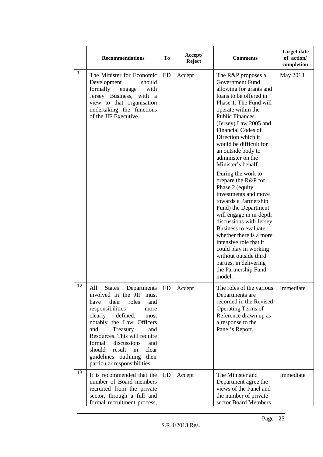|    | <b>Recommendations</b>                                                                                                                                                                                                                                                                                                                                                               | Тo | Accept/<br>Reject | <b>Comments</b>                                                                                                                                                                                                                                                                                                                                                                                                                                                                                                                                                                                                                                                                                                                              | <b>Target date</b><br>of action/<br>completion |
|----|--------------------------------------------------------------------------------------------------------------------------------------------------------------------------------------------------------------------------------------------------------------------------------------------------------------------------------------------------------------------------------------|----|-------------------|----------------------------------------------------------------------------------------------------------------------------------------------------------------------------------------------------------------------------------------------------------------------------------------------------------------------------------------------------------------------------------------------------------------------------------------------------------------------------------------------------------------------------------------------------------------------------------------------------------------------------------------------------------------------------------------------------------------------------------------------|------------------------------------------------|
| 11 | The Minister for Economic<br>Development<br>should<br>formally<br>with<br>engage<br>Jersey Business, with a<br>view to that organisation<br>undertaking the functions<br>of the JIF Executive.                                                                                                                                                                                       | ED | Accept            | The R&P proposes a<br><b>Government Fund</b><br>allowing for grants and<br>loans to be offered in<br>Phase 1. The Fund will<br>operate within the<br><b>Public Finances</b><br>(Jersey) Law 2005 and<br>Financial Codes of<br>Direction which it<br>would be difficult for<br>an outside body to<br>administer on the<br>Minister's behalf.<br>During the work to<br>prepare the R&P for<br>Phase 2 (equity<br>investments and move<br>towards a Partnership<br>Fund) the Department<br>will engage in in-depth<br>discussions with Jersey<br><b>Business to evaluate</b><br>whether there is a more<br>intensive role that it<br>could play in working<br>without outside third<br>parties, in delivering<br>the Partnership Fund<br>model. | May 2013                                       |
| 12 | All<br><b>States</b><br>Departments<br>involved in the JIF must<br>their<br>have<br>roles<br>and<br>responsibilities<br>more<br>clearly<br>defined,<br>most<br>notably the Law Officers<br>and<br>Treasury<br>and<br>Resources. This will require<br>formal<br>discussions<br>and<br>should<br>result<br>in<br>clear<br>guidelines outlining<br>their<br>particular responsibilities | ED | Accept            | The roles of the various<br>Departments are<br>recorded in the Revised<br>Operating Terms of<br>Reference drawn up as<br>a response to the<br>Panel's Report.                                                                                                                                                                                                                                                                                                                                                                                                                                                                                                                                                                                | Immediate                                      |
| 13 | It is recommended that the<br>number of Board members<br>recruited from the private<br>sector, through a full and<br>formal recruitment process,                                                                                                                                                                                                                                     | ED | Accept            | The Minister and<br>Department agree the<br>views of the Panel and<br>the number of private<br>sector Board Members                                                                                                                                                                                                                                                                                                                                                                                                                                                                                                                                                                                                                          | Immediate                                      |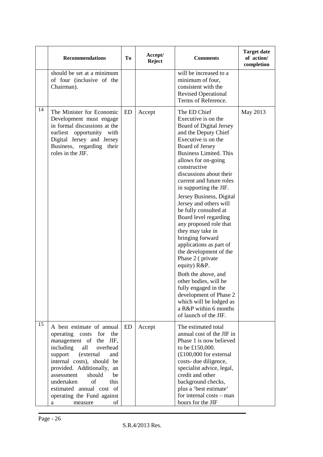|    | <b>Recommendations</b>                                                                                                                                                                                                                                                                                                                              | Tо | Accept/<br><b>Reject</b> | <b>Comments</b>                                                                                                                                                                                                                                                                                                                                                                                                                                                                                                                                                                                                                                                                                                                             | <b>Target date</b><br>of action/<br>completion |
|----|-----------------------------------------------------------------------------------------------------------------------------------------------------------------------------------------------------------------------------------------------------------------------------------------------------------------------------------------------------|----|--------------------------|---------------------------------------------------------------------------------------------------------------------------------------------------------------------------------------------------------------------------------------------------------------------------------------------------------------------------------------------------------------------------------------------------------------------------------------------------------------------------------------------------------------------------------------------------------------------------------------------------------------------------------------------------------------------------------------------------------------------------------------------|------------------------------------------------|
|    | should be set at a minimum<br>of four (inclusive of the<br>Chairman).                                                                                                                                                                                                                                                                               |    |                          | will be increased to a<br>minimum of four,<br>consistent with the<br><b>Revised Operational</b><br>Terms of Reference.                                                                                                                                                                                                                                                                                                                                                                                                                                                                                                                                                                                                                      |                                                |
| 14 | The Minister for Economic<br>Development must engage<br>in formal discussions at the<br>earliest opportunity with<br>Digital Jersey and Jersey<br>Business, regarding their<br>roles in the JIF.                                                                                                                                                    | ED | Accept                   | The ED Chief<br>Executive is on the<br>Board of Digital Jersey<br>and the Deputy Chief<br>Executive is on the<br>Board of Jersey<br><b>Business Limited. This</b><br>allows for on-going<br>constructive<br>discussions about their<br>current and future roles<br>in supporting the JIF.<br>Jersey Business, Digital<br>Jersey and others will<br>be fully consulted at<br>Board level regarding<br>any proposed role that<br>they may take in<br>bringing forward<br>applications as part of<br>the development of the<br>Phase 2 (private<br>equity) R&P.<br>Both the above, and<br>other bodies, will be<br>fully engaged in the<br>development of Phase 2<br>which will be lodged as<br>a R&P within 6 months<br>of launch of the JIF. | May 2013                                       |
| 15 | A best estimate of annual<br>operating costs for the<br>management of the JIF,<br>including<br>all<br>overhead<br>support<br>(external<br>and<br>internal costs), should be<br>provided. Additionally, an<br>assessment<br>should<br>be<br>of<br>undertaken<br>this<br>estimated annual cost of<br>operating the Fund against<br>of<br>measure<br>а | ED | Accept                   | The estimated total<br>annual cost of the JIF in<br>Phase 1 is now believed<br>to be £150,000.<br>$£100,000$ for external<br>costs- due diligence,<br>specialist advice, legal,<br>credit and other<br>background checks,<br>plus a 'best estimate'<br>for internal costs - man<br>hours for the JIF                                                                                                                                                                                                                                                                                                                                                                                                                                        |                                                |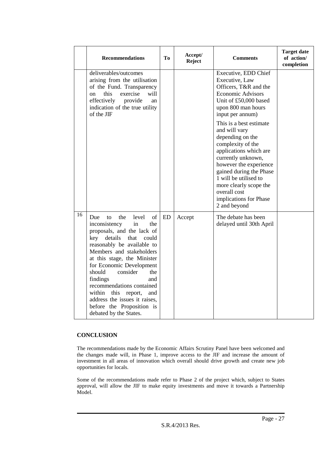|    | <b>Recommendations</b>                                                                                                                                                                                                                                                                                                                                                                                                                                          | Tо        | Accept/<br><b>Reject</b> | <b>Comments</b>                                                                                                                                                                                                                                                                                     | <b>Target date</b><br>of action/<br>completion |
|----|-----------------------------------------------------------------------------------------------------------------------------------------------------------------------------------------------------------------------------------------------------------------------------------------------------------------------------------------------------------------------------------------------------------------------------------------------------------------|-----------|--------------------------|-----------------------------------------------------------------------------------------------------------------------------------------------------------------------------------------------------------------------------------------------------------------------------------------------------|------------------------------------------------|
|    | deliverables/outcomes<br>arising from the utilisation<br>of the Fund. Transparency<br>this<br>exercise<br>will<br><sub>on</sub><br>effectively<br>provide<br>an<br>indication of the true utility<br>of the JIF                                                                                                                                                                                                                                                 |           |                          | Executive, EDD Chief<br>Executive, Law<br>Officers, T&R and the<br><b>Economic Advisors</b><br>Unit of £50,000 based<br>upon 800 man hours<br>input per annum)                                                                                                                                      |                                                |
|    |                                                                                                                                                                                                                                                                                                                                                                                                                                                                 |           |                          | This is a best estimate<br>and will vary<br>depending on the<br>complexity of the<br>applications which are<br>currently unknown,<br>however the experience<br>gained during the Phase<br>1 will be utilised to<br>more clearly scope the<br>overall cost<br>implications for Phase<br>2 and beyond |                                                |
| 16 | $\sigma$<br>level<br>Due<br>the<br>to<br>in<br>inconsistency<br>the<br>proposals, and the lack of<br>key details<br>that<br>could<br>reasonably be available to<br>Members and stakeholders<br>at this stage, the Minister<br>for Economic Development<br>should<br>consider<br>the<br>findings<br>and<br>recommendations contained<br>this<br>within<br>report,<br>and<br>address the issues it raises,<br>before the Proposition is<br>debated by the States. | <b>ED</b> | Accept                   | The debate has been<br>delayed until 30th April                                                                                                                                                                                                                                                     |                                                |

#### **CONCLUSION**

The recommendations made by the Economic Affairs Scrutiny Panel have been welcomed and the changes made will, in Phase 1, improve access to the JIF and increase the amount of investment in all areas of innovation which overall should drive growth and create new job opportunities for locals.

Some of the recommendations made refer to Phase 2 of the project which, subject to States approval, will allow the JIF to make equity investments and move it towards a Partnership Model.